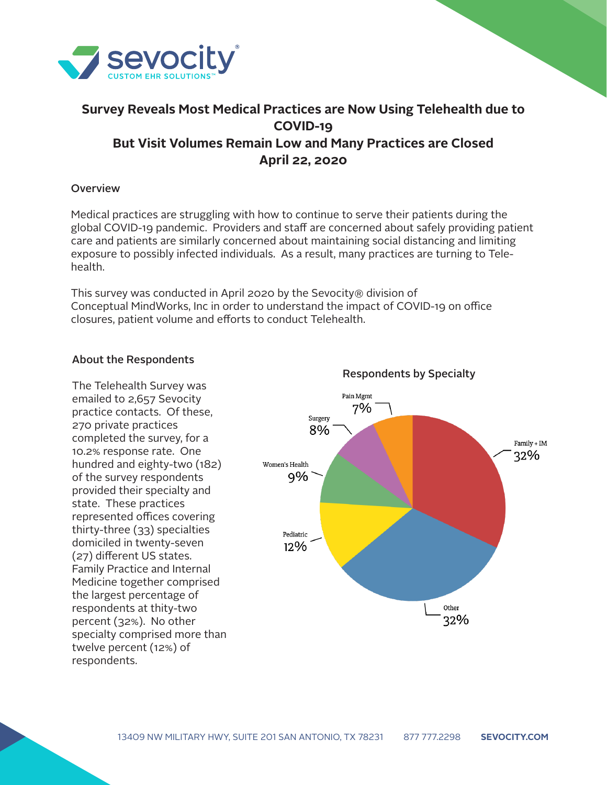

# **Survey Reveals Most Medical Practices are Now Using Telehealth due to COVID-19 But Visit Volumes Remain Low and Many Practices are Closed April 22, 2020**

### Overview

Medical practices are struggling with how to continue to serve their patients during the global COVID-19 pandemic. Providers and staff are concerned about safely providing patient care and patients are similarly concerned about maintaining social distancing and limiting exposure to possibly infected individuals. As a result, many practices are turning to Telehealth.

This survey was conducted in April 2020 by the Sevocity® division of Conceptual MindWorks, Inc in order to understand the impact of COVID-19 on office closures, patient volume and efforts to conduct Telehealth.

#### About the Respondents

The Telehealth Survey was emailed to 2,657 Sevocity practice contacts. Of these, 270 private practices completed the survey, for a 10.2% response rate. One hundred and eighty-two (182) of the survey respondents provided their specialty and state. These practices represented offices covering thirty-three (33) specialties domiciled in twenty-seven (27) different US states. Family Practice and Internal Medicine together comprised the largest percentage of respondents at thity-two percent (32%). No other specialty comprised more than twelve percent (12%) of respondents.

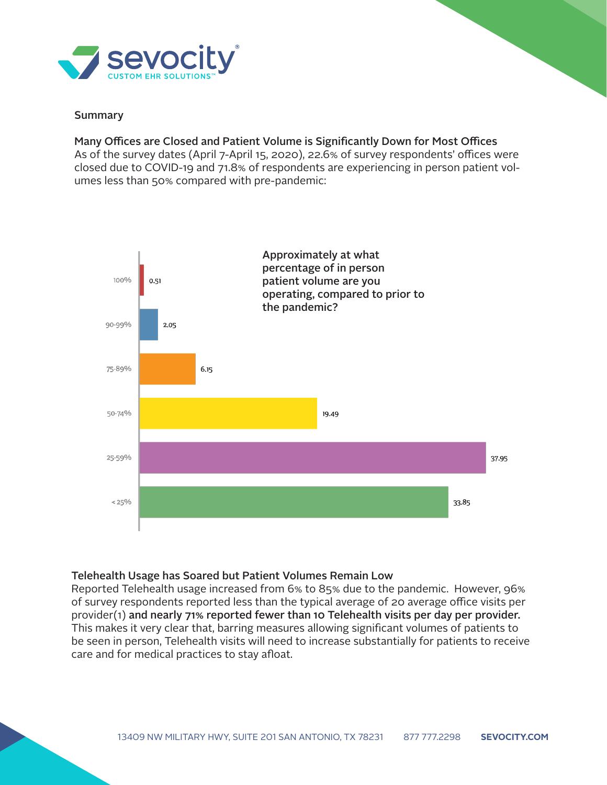

## Summary

## Many Offices are Closed and Patient Volume is Significantly Down for Most Offices

As of the survey dates (April 7-April 15, 2020), 22.6% of survey respondents' offices were closed due to COVID-19 and 71.8% of respondents are experiencing in person patient volumes less than 50% compared with pre-pandemic:



## Telehealth Usage has Soared but Patient Volumes Remain Low

Reported Telehealth usage increased from 6% to 85% due to the pandemic. However, 96% of survey respondents reported less than the typical average of 20 average office visits per provider(1) and nearly 71% reported fewer than 10 Telehealth visits per day per provider. This makes it very clear that, barring measures allowing significant volumes of patients to be seen in person, Telehealth visits will need to increase substantially for patients to receive care and for medical practices to stay afloat.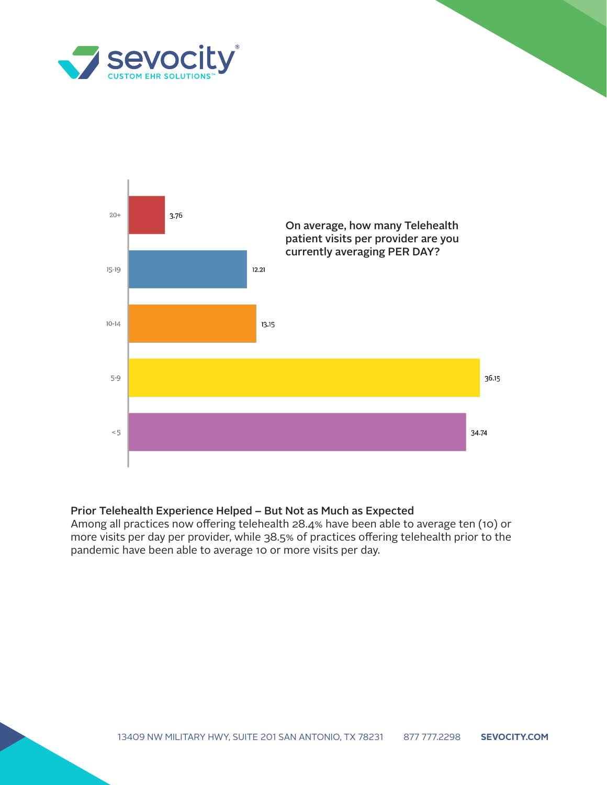



#### Prior Telehealth Experience Helped – But Not as Much as Expected

Among all practices now offering telehealth 28.4% have been able to average ten (10) or more visits per day per provider, while 38.5% of practices offering telehealth prior to the pandemic have been able to average 10 or more visits per day.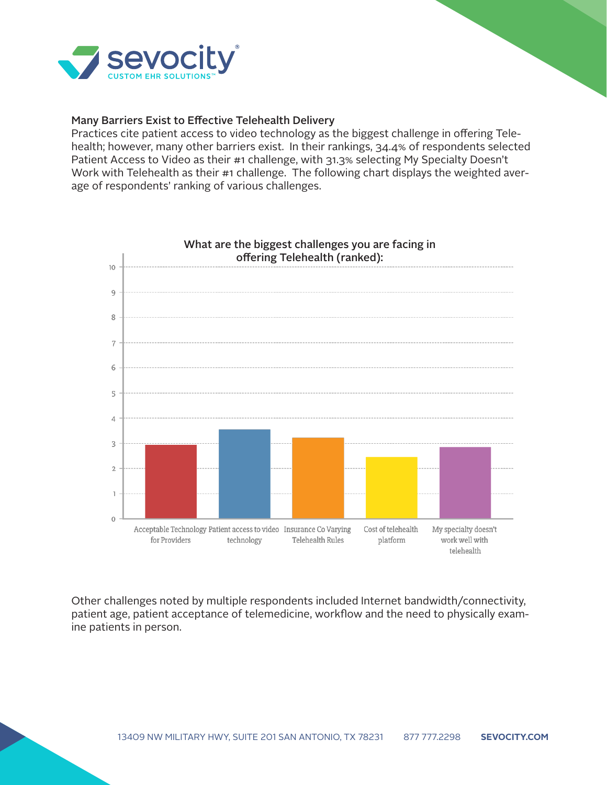

### Many Barriers Exist to Effective Telehealth Delivery

Practices cite patient access to video technology as the biggest challenge in offering Telehealth; however, many other barriers exist. In their rankings, 34.4% of respondents selected Patient Access to Video as their #1 challenge, with 31.3% selecting My Specialty Doesn't Work with Telehealth as their #1 challenge. The following chart displays the weighted average of respondents' ranking of various challenges.



Other challenges noted by multiple respondents included Internet bandwidth/connectivity, patient age, patient acceptance of telemedicine, workflow and the need to physically examine patients in person.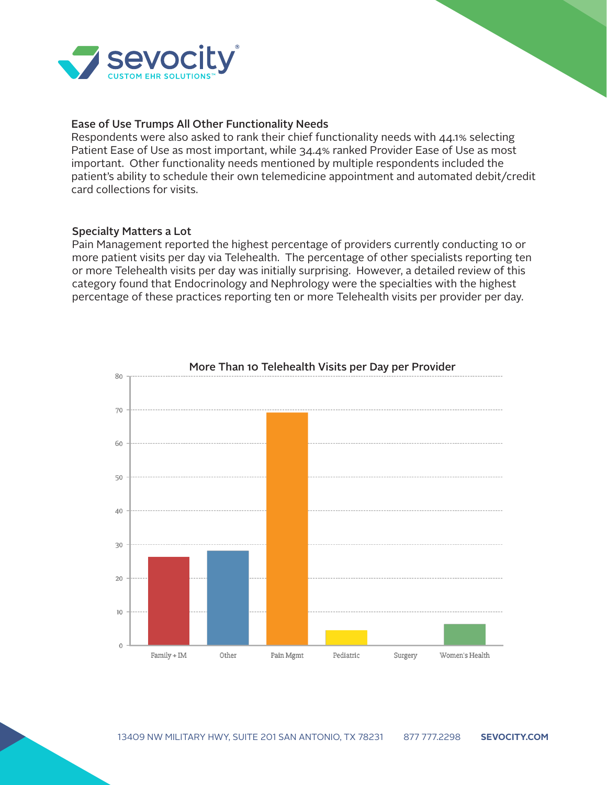

#### Ease of Use Trumps All Other Functionality Needs

Respondents were also asked to rank their chief functionality needs with 44.1% selecting Patient Ease of Use as most important, while 34.4% ranked Provider Ease of Use as most important. Other functionality needs mentioned by multiple respondents included the patient's ability to schedule their own telemedicine appointment and automated debit/credit card collections for visits.

### Specialty Matters a Lot

Pain Management reported the highest percentage of providers currently conducting 10 or more patient visits per day via Telehealth. The percentage of other specialists reporting ten or more Telehealth visits per day was initially surprising. However, a detailed review of this category found that Endocrinology and Nephrology were the specialties with the highest percentage of these practices reporting ten or more Telehealth visits per provider per day.